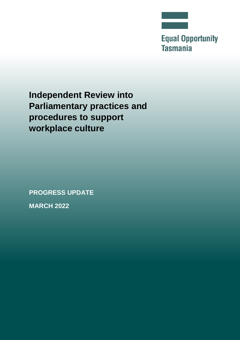

**Equal Opportunity Tasmania** 

**Independent Review into Parliamentary practices and procedures to support workplace culture**

**PROGRESS UPDATE**

**MARCH 2022**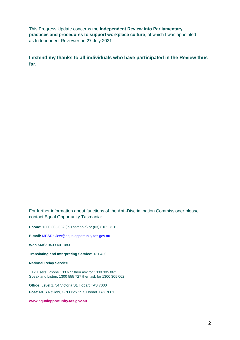This Progress Update concerns the **Independent Review into Parliamentary practices and procedures to support workplace culture**, of which I was appointed as Independent Reviewer on 27 July 2021.

**I extend my thanks to all individuals who have participated in the Review thus far.**

For further information about functions of the Anti-Discrimination Commissioner please contact Equal Opportunity Tasmania:

**Phone:** 1300 305 062 (in Tasmania) or (03) 6165 7515

**E-mail:** [MPSReview@equalopportunity.tas.gov.au](mailto:MPSReview@equalopportunity.tas.gov.au)

**Web SMS:** 0409 401 083

**Translating and Interpreting Service:** 131 450

**National Relay Service**

TTY Users: Phone 133 677 then ask for 1300 305 062 Speak and Listen: 1300 555 727 then ask for 1300 305 062

**Office:** Level 1, 54 Victoria St, Hobart TAS 7000

**Post:** MPS Review, GPO Box 197, Hobart TAS 7001

**[www.equalopportunity.tas.gov.au](http://www.equalopportunity.tas.gov.au/)**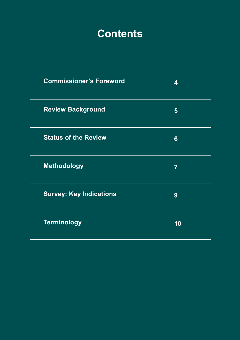## **Contents**

| <b>Commissioner's Foreword</b> | 4              |
|--------------------------------|----------------|
| <b>Review Background</b>       | $\overline{5}$ |
| <b>Status of the Review</b>    | $6\phantom{1}$ |
| <b>Methodology</b>             | $\overline{7}$ |
| <b>Survey: Key Indications</b> | 9              |
| <b>Terminology</b>             | 10             |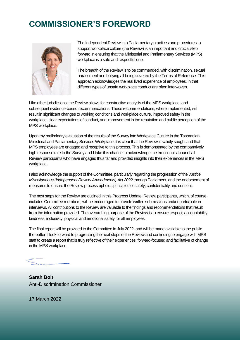## **COMMISSIONER'S FOREWORD**



The Independent Review into Parliamentary practices and procedures to support workplace culture (the Review) is an important and crucial step forward in ensuring that the Ministerial and Parliamentary Services (MPS) workplace is a safe and respectful one.

The breadth of the Review is to be commended, with discrimination, sexual harassment and bullying all being covered by the Terms of Reference. This approach acknowledges the real lived experience of employees, in that different types of unsafe workplace conduct are often interwoven.

Like other jurisdictions, the Review allows for constructive analysis of the MPS workplace, and subsequent evidence-based recommendations. These recommendations, where implemented, will result in significant changes to working conditions and workplace culture, improved safety in the workplace, clear expectations of conduct, and improvement in the reputation and public perception of the MPS workplace.

Upon my preliminary evaluation of the results of the Survey into Workplace Culture in the Tasmanian Ministerial and Parliamentary Services Workplace, it is clear that the Review is validly sought and that MPS employees are engaged and receptive to this process. This is demonstrated by the comparatively high response rate to the Survey and I take this chance to acknowledge the emotional labour of all Review participants who have engaged thus far and provided insights into their experiences in the MPS workplace.

I also acknowledge the support of the Committee, particularly regarding the progression of the *Justice Miscellaneous (Independent Review Amendments) Act 2022* through Parliament, and the endorsement of measures to ensure the Review process upholds principles of safety, confidentiality and consent.

The next steps for the Review are outlined in this Progress Update. Review participants, which, of course, includes Committee members, will be encouraged to provide written submissions and/or participate in interviews. All contributions to the Review are valuable to the findings and recommendations that result from the information provided. The overarching purpose of the Review is to ensure respect, accountability, kindness, inclusivity, physical and emotional safety for all employees.

The final report will be provided to the Committee in July 2022, and will be made available to the public thereafter. I look forward to progressing the next steps of the Review and continuing to engage with MPS staff to create a report that is truly reflective of their experiences, forward-focused and facilitative of change in the MPS workplace.

**Sarah Bolt** Anti-Discrimination Commissioner

17 March 2022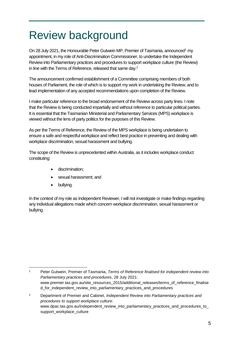## Review background

On 28 July 2021, the Honourable Peter Gutwein MP, Premier of Tasmania, announced<sup>1</sup> my appointment, in my role of Anti-Discrimination Commissioner, to undertake the Independent Review into Parliamentary practices and procedures to support workplace culture (the Review) in line with the Terms of Reference, released that same day.<sup>2</sup>

 $\frac{1}{2}$  , and the set of the set of the set of the set of the set of the set of the set of the set of the set of the set of the set of the set of the set of the set of the set of the set of the set of the set of the set

The announcement confirmed establishment of a Committee comprising members of both houses of Parliament, the role of which is to support my work in undertaking the Review, and to lead implementation of any accepted recommendations upon completion of the Review.

I make particular reference to the broad endorsement of the Review across party lines. I note that the Review is being conducted impartially and without reference to particular political parties. It is essential that the Tasmanian Ministerial and Parliamentary Services (MPS) workplace is viewed without the lens of party politics for the purposes of this Review.

As per the Terms of Reference, the Review of the MPS workplace is being undertaken to ensure a safe and respectful workplace and reflect best practice in preventing and dealing with workplace discrimination, sexual harassment and bullying.

The scope of the Review is unprecedented within Australia, as it includes workplace conduct constituting:

- discrimination;
- sexual harassment; and
- bullying.

1

In the context of my role as Independent Reviewer, I will not investigate or make findings regarding any individual allegations made which concern workplace discrimination, sexual harassment or bullying.

<sup>1</sup> Peter Gutwein, Premier of Tasmania, *Terms of Reference finalised for independent review into Parliamentary practices and procedures*, 28 July 2021: www.premier.tas.gov.au/site\_resources\_2015/additional\_releases/terms\_of\_reference\_finalise d\_for\_independent\_review\_into\_parliamentary\_practices\_and\_procedures

<sup>2</sup> Department of Premier and Cabinet, *Independent Review into Parliamentary practices and procedures to support workplace culture*: www.dpac.tas.gov.au/independent\_review\_into\_parliamentary\_practices\_and\_procedures\_to\_ support\_workplace\_culture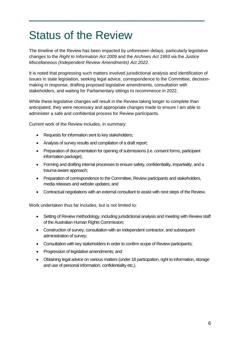## Status of the Review

The timeline of the Review has been impacted by unforeseen delays, particularly legislative changes to the *Right to Information Act 2009* and the *Archives Act 1993* via the *Justice Miscellaneous (Independent Review Amendments) Act 2022*.

 $\frac{1}{2}$  , and the set of the set of the set of the set of the set of the set of the set of the set of the set of the set of the set of the set of the set of the set of the set of the set of the set of the set of the set

It is noted that progressing such matters involved jurisdictional analysis and identification of issues in state legislation, seeking legal advice, correspondence to the Committee, decisionmaking in response, drafting proposed legislative amendments, consultation with stakeholders, and waiting for Parliamentary sittings to recommence in 2022.

While these legislative changes will result in the Review taking longer to complete than anticipated, they were necessary and appropriate changes made to ensure I am able to administer a safe and confidential process for Review participants.

Current work of the Review includes, in summary:

- Requests for information sent to key stakeholders:
- Analysis of survey results and compilation of a draft report;
- Preparation of documentation for opening of submissions (i.e. consent forms, participant information package);
- Forming and drafting internal processes to ensure safety, confidentiality, impartiality, and a trauma-aware approach;
- Preparation of correspondence to the Committee, Review participants and stakeholders, media releases and website updates; and
- Contractual negotiations with an external consultant to assist with next steps of the Review.

Work undertaken thus far includes, but is not limited to:

- Setting of Review methodology, including jurisdictional analysis and meeting with Review staff of the Australian Human Rights Commission;
- Construction of survey, consultation with an independent contractor, and subsequent administration of survey;
- Consultation with key stakeholders in order to confirm scope of Review participants;
- Progression of legislative amendments; and
- Obtaining legal advice on various matters (under 18 participation, right to information, storage and use of personal information, confidentiality etc.).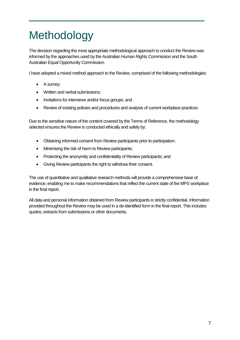# Methodology

The decision regarding the most appropriate methodological approach to conduct the Review was informed by the approaches used by the Australian Human Rights Commission and the South Australian Equal Opportunity Commission.

 $\frac{1}{2}$  , and the set of the set of the set of the set of the set of the set of the set of the set of the set of the set of the set of the set of the set of the set of the set of the set of the set of the set of the set

I have adopted a mixed method approach to the Review, comprised of the following methodologies:

- A survey;
- Written and verbal submissions:
- Invitations for interviews and/or focus groups; and
- Review of existing policies and procedures and analysis of current workplace practices.

Due to the sensitive nature of the content covered by the Terms of Reference, the methodology selected ensures the Review is conducted ethically and safely by:

- Obtaining informed consent from Review participants prior to participation;
- Minimising the risk of harm to Review participants;
- Protecting the anonymity and confidentiality of Review participants; and
- Giving Review participants the right to withdraw their consent.

The use of quantitative and qualitative research methods will provide a comprehensive base of evidence, enabling me to make recommendations that reflect the current state of the MPS workplace in the final report.

All data and personal information obtained from Review participants is strictly confidential. Information provided throughout the Review may be used in a de-identified form in the final report. This includes quotes, extracts from submissions or other documents.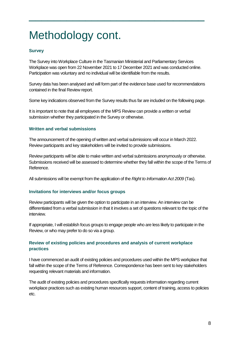# Methodology cont.

## **Survey**

The Survey into Workplace Culture in the Tasmanian Ministerial and Parliamentary Services Workplace was open from 22 November 2021 to 17 December 2021 and was conducted online. Participation was voluntary and no individual will be identifiable from the results.

 $\frac{1}{2}$  , and the set of the set of the set of the set of the set of the set of the set of the set of the set of the set of the set of the set of the set of the set of the set of the set of the set of the set of the set

Survey data has been analysed and will form part of the evidence base used for recommendations contained in the final Review report.

Some key indications observed from the Survey results thus far are included on the following page.

It is important to note that all employees of the MPS Review can provide a written or verbal submission whether they participated in the Survey or otherwise.

## **Written and verbal submissions**

The announcement of the opening of written and verbal submissions will occur in March 2022. Review participants and key stakeholders will be invited to provide submissions.

Review participants will be able to make written and verbal submissions anonymously or otherwise. Submissions received will be assessed to determine whether they fall within the scope of the Terms of Reference.

All submissions will be exempt from the application of the *Right to Information Act 2009* (Tas).

## **Invitations for interviews and/or focus groups**

Review participants will be given the option to participate in an interview. An interview can be differentiated from a verbal submission in that it involves a set of questions relevant to the topic of the interview.

If appropriate, I will establish focus groups to engage people who are less likely to participate in the Review, or who may prefer to do so via a group.

## **Review of existing policies and procedures and analysis of current workplace practices**

I have commenced an audit of existing policies and procedures used within the MPS workplace that fall within the scope of the Terms of Reference. Correspondence has been sent to key stakeholders requesting relevant materials and information.

The audit of existing policies and procedures specifically requests information regarding current workplace practices such as existing human resources support, content of training, access to policies etc.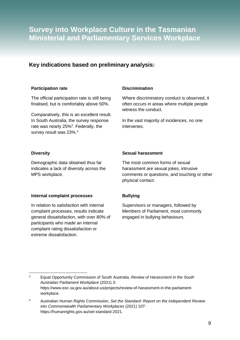## **Survey into Workplace Culture in the Tasmanian Ministerial and Parliamentary Services Workplace**

## **Key indications based on preliminary analysis:**

#### **Participation rate**

The official participation rate is still being finalised, but is comfortably above 50%.

Comparatively, this is an excellent result. In South Australia, the survey response rate was nearly 25%<sup>3</sup>. Federally, the survey result was 23%.<sup>4</sup>

## **Discrimination**

Where discriminatory conduct is observed, it often occurs in areas where multiple people witness the conduct.

In the vast majority of incidences, no one intervenes.

## **Diversity**

Demographic data obtained thus far indicates a lack of diversity across the MPS workplace.

## **Internal complaint processes**

In relation to satisfaction with internal complaint processes, results indicate general dissatisfaction, with over 80% of participants who made an internal complaint rating dissatisfaction or extreme dissatisfaction.

## **Sexual harassment**

The most common forms of sexual harassment are sexual jokes, intrusive comments or questions, and touching or other physical contact.

## **Bullying**

Supervisors or managers, followed by Members of Parliament, most commonly engaged in bullying behaviours.

<sup>&</sup>lt;u>.</u> <sup>3</sup> Equal Opportunity Commission of South Australia, *Review of Harassment in the South Australian Parliament Workplace* (2021) 3: https://www.eoc.sa.gov.au/about-us/projects/review-of-harassment-in-the-parliamentworkplace.

<sup>4</sup> Australian Human Rights Commission, *Set the Standard: Report on the Independent Review into Commonwealth Parliamentary Workplaces* (2021) 107: https://humanrights.gov.au/set-standard-2021.